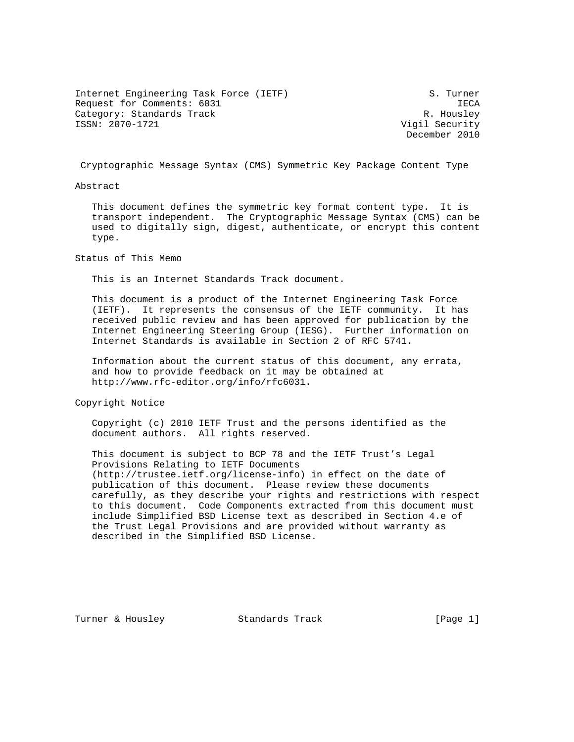Internet Engineering Task Force (IETF) S. Turner Request for Comments: 6031 IECA Category: Standards Track R. Housley<br>
ISSN: 2070-1721 Category: R. Housley<br>
Vigil Security

Vigil Security December 2010

Cryptographic Message Syntax (CMS) Symmetric Key Package Content Type

Abstract

 This document defines the symmetric key format content type. It is transport independent. The Cryptographic Message Syntax (CMS) can be used to digitally sign, digest, authenticate, or encrypt this content type.

Status of This Memo

This is an Internet Standards Track document.

 This document is a product of the Internet Engineering Task Force (IETF). It represents the consensus of the IETF community. It has received public review and has been approved for publication by the Internet Engineering Steering Group (IESG). Further information on Internet Standards is available in Section 2 of RFC 5741.

 Information about the current status of this document, any errata, and how to provide feedback on it may be obtained at http://www.rfc-editor.org/info/rfc6031.

Copyright Notice

 Copyright (c) 2010 IETF Trust and the persons identified as the document authors. All rights reserved.

 This document is subject to BCP 78 and the IETF Trust's Legal Provisions Relating to IETF Documents (http://trustee.ietf.org/license-info) in effect on the date of publication of this document. Please review these documents carefully, as they describe your rights and restrictions with respect to this document. Code Components extracted from this document must include Simplified BSD License text as described in Section 4.e of the Trust Legal Provisions and are provided without warranty as described in the Simplified BSD License.

Turner & Housley Standards Track [Page 1]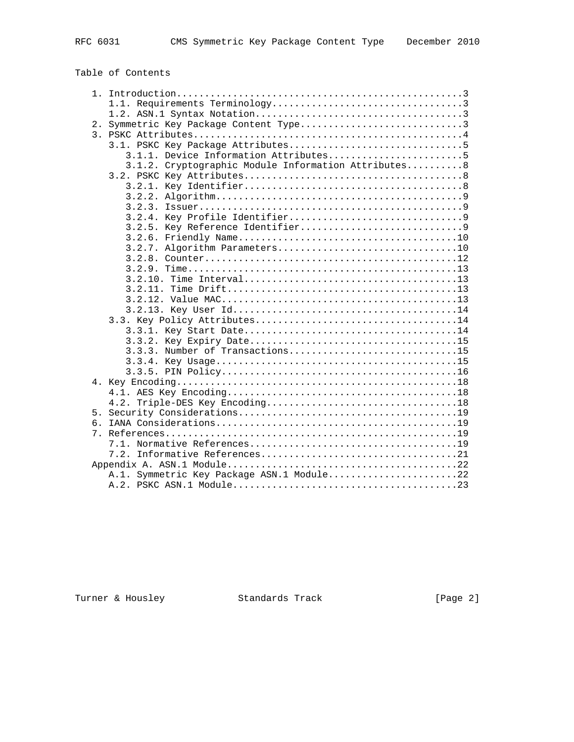# Table of Contents

|    | 2. Symmetric Key Package Content Type3              |
|----|-----------------------------------------------------|
|    |                                                     |
|    |                                                     |
|    | 3.1.1. Device Information Attributes5               |
|    | 3.1.2. Cryptographic Module Information Attributes8 |
|    |                                                     |
|    |                                                     |
|    |                                                     |
|    |                                                     |
|    |                                                     |
|    |                                                     |
|    |                                                     |
|    |                                                     |
|    |                                                     |
|    |                                                     |
|    |                                                     |
|    |                                                     |
|    |                                                     |
|    |                                                     |
|    |                                                     |
|    |                                                     |
|    |                                                     |
|    | 3.3.3. Number of Transactions15                     |
|    |                                                     |
|    |                                                     |
|    |                                                     |
|    |                                                     |
|    |                                                     |
|    |                                                     |
| რ. |                                                     |
|    |                                                     |
|    |                                                     |
|    |                                                     |
|    |                                                     |
|    | A.1. Symmetric Key Package ASN.1 Module22           |
|    |                                                     |

Turner & Housley Standards Track [Page 2]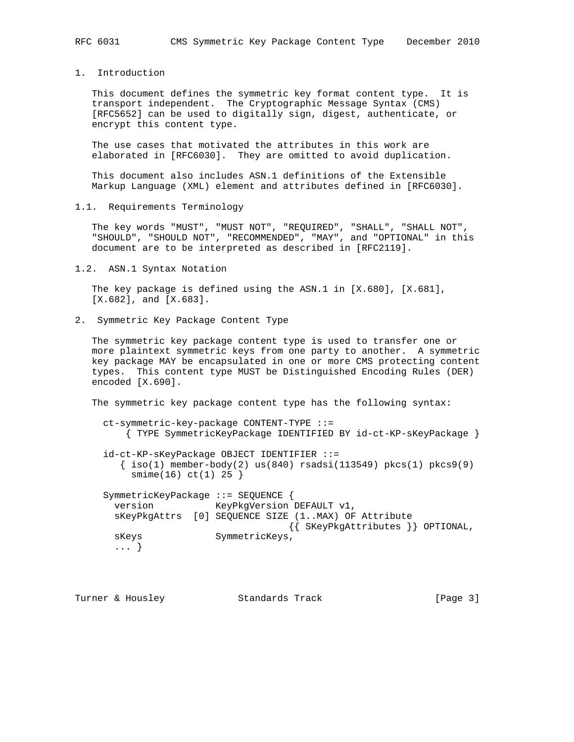1. Introduction

 This document defines the symmetric key format content type. It is transport independent. The Cryptographic Message Syntax (CMS) [RFC5652] can be used to digitally sign, digest, authenticate, or encrypt this content type.

 The use cases that motivated the attributes in this work are elaborated in [RFC6030]. They are omitted to avoid duplication.

 This document also includes ASN.1 definitions of the Extensible Markup Language (XML) element and attributes defined in [RFC6030].

1.1. Requirements Terminology

 The key words "MUST", "MUST NOT", "REQUIRED", "SHALL", "SHALL NOT", "SHOULD", "SHOULD NOT", "RECOMMENDED", "MAY", and "OPTIONAL" in this document are to be interpreted as described in [RFC2119].

1.2. ASN.1 Syntax Notation

 The key package is defined using the ASN.1 in [X.680], [X.681], [X.682], and [X.683].

2. Symmetric Key Package Content Type

 The symmetric key package content type is used to transfer one or more plaintext symmetric keys from one party to another. A symmetric key package MAY be encapsulated in one or more CMS protecting content types. This content type MUST be Distinguished Encoding Rules (DER) encoded [X.690].

The symmetric key package content type has the following syntax:

```
 ct-symmetric-key-package CONTENT-TYPE ::=
     { TYPE SymmetricKeyPackage IDENTIFIED BY id-ct-KP-sKeyPackage }
 id-ct-KP-sKeyPackage OBJECT IDENTIFIER ::=
   \{\text{iso}(1) \text{ member-body}(2) \text{ us}(840) \text{ rsadsi}(113549) \text{ pkcs}(1) \text{ pkcs}(9) smime(16) ct(1) 25 }
 SymmetricKeyPackage ::= SEQUENCE {
   version KeyPkgVersion DEFAULT v1,
   sKeyPkgAttrs [0] SEQUENCE SIZE (1..MAX) OF Attribute
                                    {{ SKeyPkgAttributes }} OPTIONAL,
  sKeys SymmetricKeys,
   ... }
```

| Turner & Housley<br>Standards Track | [Page 3] |  |
|-------------------------------------|----------|--|
|-------------------------------------|----------|--|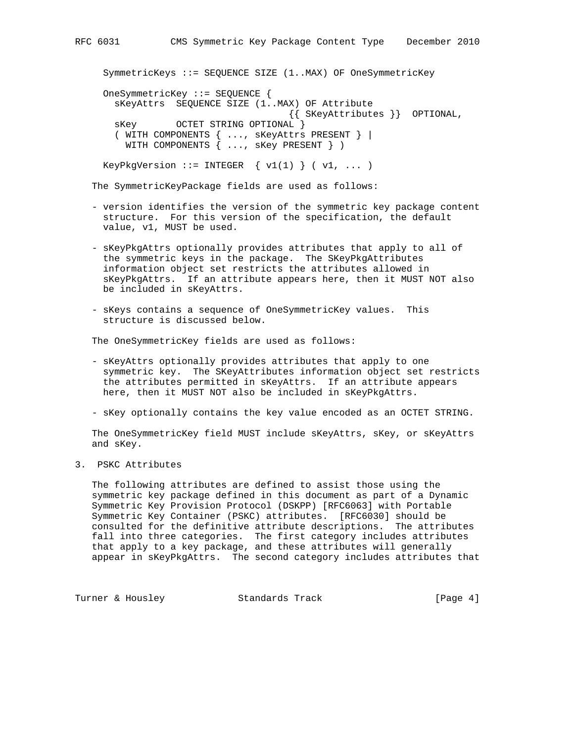```
 SymmetricKeys ::= SEQUENCE SIZE (1..MAX) OF OneSymmetricKey
 OneSymmetricKey ::= SEQUENCE {
  sKeyAttrs SEQUENCE SIZE (1..MAX) OF Attribute
                                 {{ SKeyAttributes }} OPTIONAL,
  sKey OCTET STRING OPTIONAL }
```

```
 ( WITH COMPONENTS { ..., sKeyAttrs PRESENT } |
  WITH COMPONENTS { ..., sKey PRESENT } )
```
KeyPkgVersion ::= INTEGER  $\{ v1(1) \} ( v1, ... )$ 

The SymmetricKeyPackage fields are used as follows:

- version identifies the version of the symmetric key package content structure. For this version of the specification, the default value, v1, MUST be used.
- sKeyPkgAttrs optionally provides attributes that apply to all of the symmetric keys in the package. The SKeyPkgAttributes information object set restricts the attributes allowed in sKeyPkgAttrs. If an attribute appears here, then it MUST NOT also be included in sKeyAttrs.
- sKeys contains a sequence of OneSymmetricKey values. This structure is discussed below.

The OneSymmetricKey fields are used as follows:

- sKeyAttrs optionally provides attributes that apply to one symmetric key. The SKeyAttributes information object set restricts the attributes permitted in sKeyAttrs. If an attribute appears here, then it MUST NOT also be included in sKeyPkgAttrs.
- sKey optionally contains the key value encoded as an OCTET STRING.

 The OneSymmetricKey field MUST include sKeyAttrs, sKey, or sKeyAttrs and sKey.

3. PSKC Attributes

 The following attributes are defined to assist those using the symmetric key package defined in this document as part of a Dynamic Symmetric Key Provision Protocol (DSKPP) [RFC6063] with Portable Symmetric Key Container (PSKC) attributes. [RFC6030] should be consulted for the definitive attribute descriptions. The attributes fall into three categories. The first category includes attributes that apply to a key package, and these attributes will generally appear in sKeyPkgAttrs. The second category includes attributes that

Turner & Housley Standards Track [Page 4]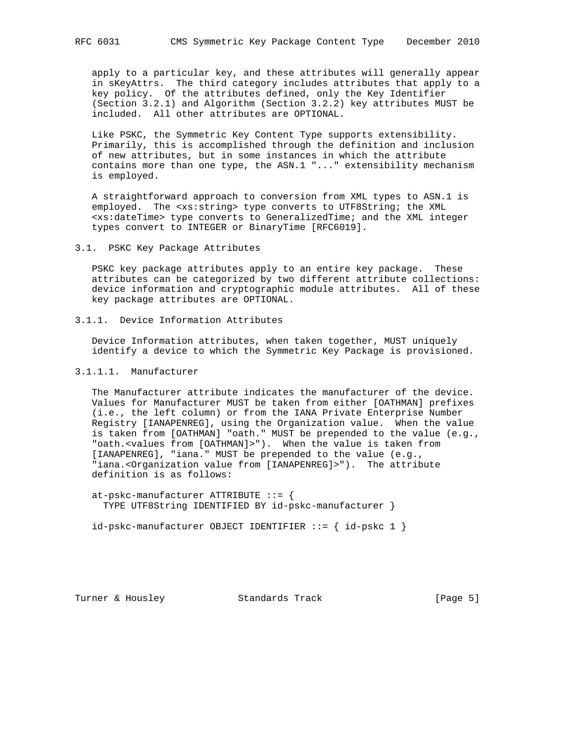apply to a particular key, and these attributes will generally appear in sKeyAttrs. The third category includes attributes that apply to a key policy. Of the attributes defined, only the Key Identifier (Section 3.2.1) and Algorithm (Section 3.2.2) key attributes MUST be included. All other attributes are OPTIONAL.

 Like PSKC, the Symmetric Key Content Type supports extensibility. Primarily, this is accomplished through the definition and inclusion of new attributes, but in some instances in which the attribute contains more than one type, the ASN.1 "..." extensibility mechanism is employed.

 A straightforward approach to conversion from XML types to ASN.1 is employed. The <xs:string> type converts to UTF8String; the XML <xs:dateTime> type converts to GeneralizedTime; and the XML integer types convert to INTEGER or BinaryTime [RFC6019].

3.1. PSKC Key Package Attributes

 PSKC key package attributes apply to an entire key package. These attributes can be categorized by two different attribute collections: device information and cryptographic module attributes. All of these key package attributes are OPTIONAL.

3.1.1. Device Information Attributes

 Device Information attributes, when taken together, MUST uniquely identify a device to which the Symmetric Key Package is provisioned.

## 3.1.1.1. Manufacturer

 The Manufacturer attribute indicates the manufacturer of the device. Values for Manufacturer MUST be taken from either [OATHMAN] prefixes (i.e., the left column) or from the IANA Private Enterprise Number Registry [IANAPENREG], using the Organization value. When the value is taken from [OATHMAN] "oath." MUST be prepended to the value (e.g., "oath.<values from [OATHMAN]>"). When the value is taken from [IANAPENREG], "iana." MUST be prepended to the value (e.g., "iana.<Organization value from [IANAPENREG]>"). The attribute definition is as follows:

 at-pskc-manufacturer ATTRIBUTE ::= { TYPE UTF8String IDENTIFIED BY id-pskc-manufacturer }

 $id-pskc$ -manufacturer OBJECT IDENTIFIER  $::=$  {  $id-pskc$  1 }

Turner & Housley Standards Track [Page 5]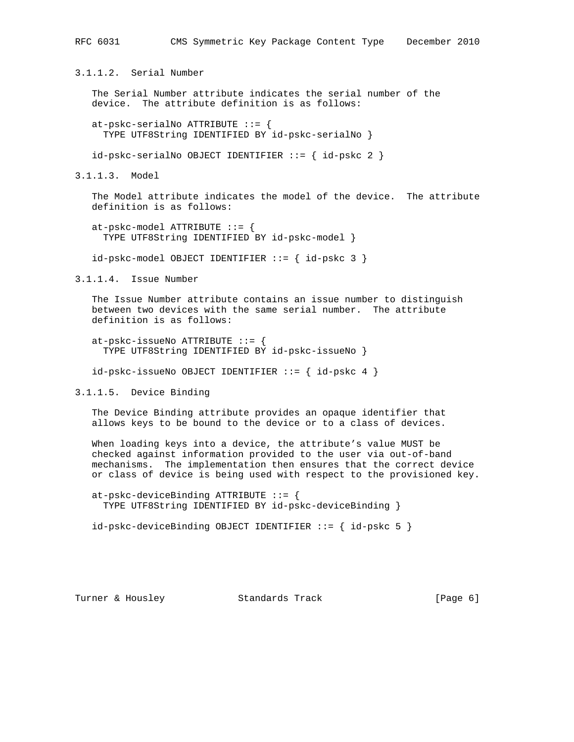3.1.1.2. Serial Number

 The Serial Number attribute indicates the serial number of the device. The attribute definition is as follows:

at-pskc-serialNo ATTRIBUTE  $::=$  { TYPE UTF8String IDENTIFIED BY id-pskc-serialNo }

id-pskc-serialNo OBJECT IDENTIFIER ::= { id-pskc 2 }

3.1.1.3. Model

 The Model attribute indicates the model of the device. The attribute definition is as follows:

 at-pskc-model ATTRIBUTE ::= { TYPE UTF8String IDENTIFIED BY id-pskc-model }

id-pskc-model OBJECT IDENTIFIER ::= { id-pskc 3 }

3.1.1.4. Issue Number

 The Issue Number attribute contains an issue number to distinguish between two devices with the same serial number. The attribute definition is as follows:

 at-pskc-issueNo ATTRIBUTE ::= { TYPE UTF8String IDENTIFIED BY id-pskc-issueNo }

id-pskc-issueNo OBJECT IDENTIFIER ::= { id-pskc 4 }

3.1.1.5. Device Binding

 The Device Binding attribute provides an opaque identifier that allows keys to be bound to the device or to a class of devices.

 When loading keys into a device, the attribute's value MUST be checked against information provided to the user via out-of-band mechanisms. The implementation then ensures that the correct device or class of device is being used with respect to the provisioned key.

 at-pskc-deviceBinding ATTRIBUTE ::= { TYPE UTF8String IDENTIFIED BY id-pskc-deviceBinding }

 $id-pskc-deviceBinding OBJECT IDENTIFYER ::= { id-pskc 5 }$ 

Turner & Housley Standards Track [Page 6]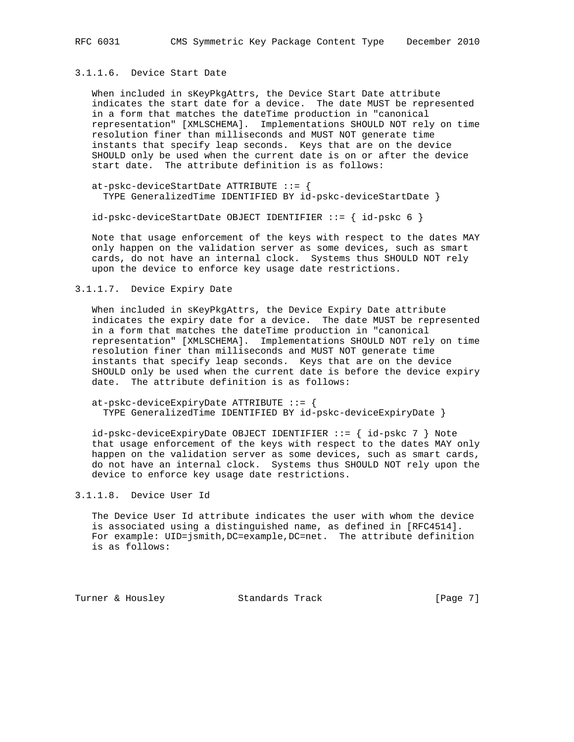# 3.1.1.6. Device Start Date

 When included in sKeyPkgAttrs, the Device Start Date attribute indicates the start date for a device. The date MUST be represented in a form that matches the dateTime production in "canonical representation" [XMLSCHEMA]. Implementations SHOULD NOT rely on time resolution finer than milliseconds and MUST NOT generate time instants that specify leap seconds. Keys that are on the device SHOULD only be used when the current date is on or after the device start date. The attribute definition is as follows:

 at-pskc-deviceStartDate ATTRIBUTE ::= { TYPE GeneralizedTime IDENTIFIED BY id-pskc-deviceStartDate }

id-pskc-deviceStartDate OBJECT IDENTIFIER ::= { id-pskc 6 }

 Note that usage enforcement of the keys with respect to the dates MAY only happen on the validation server as some devices, such as smart cards, do not have an internal clock. Systems thus SHOULD NOT rely upon the device to enforce key usage date restrictions.

3.1.1.7. Device Expiry Date

 When included in sKeyPkgAttrs, the Device Expiry Date attribute indicates the expiry date for a device. The date MUST be represented in a form that matches the dateTime production in "canonical representation" [XMLSCHEMA]. Implementations SHOULD NOT rely on time resolution finer than milliseconds and MUST NOT generate time instants that specify leap seconds. Keys that are on the device SHOULD only be used when the current date is before the device expiry date. The attribute definition is as follows:

 at-pskc-deviceExpiryDate ATTRIBUTE ::= { TYPE GeneralizedTime IDENTIFIED BY id-pskc-deviceExpiryDate }

 id-pskc-deviceExpiryDate OBJECT IDENTIFIER ::= { id-pskc 7 } Note that usage enforcement of the keys with respect to the dates MAY only happen on the validation server as some devices, such as smart cards, do not have an internal clock. Systems thus SHOULD NOT rely upon the device to enforce key usage date restrictions.

3.1.1.8. Device User Id

 The Device User Id attribute indicates the user with whom the device is associated using a distinguished name, as defined in [RFC4514]. For example: UID=jsmith,DC=example,DC=net. The attribute definition is as follows:

Turner & Housley Standards Track [Page 7]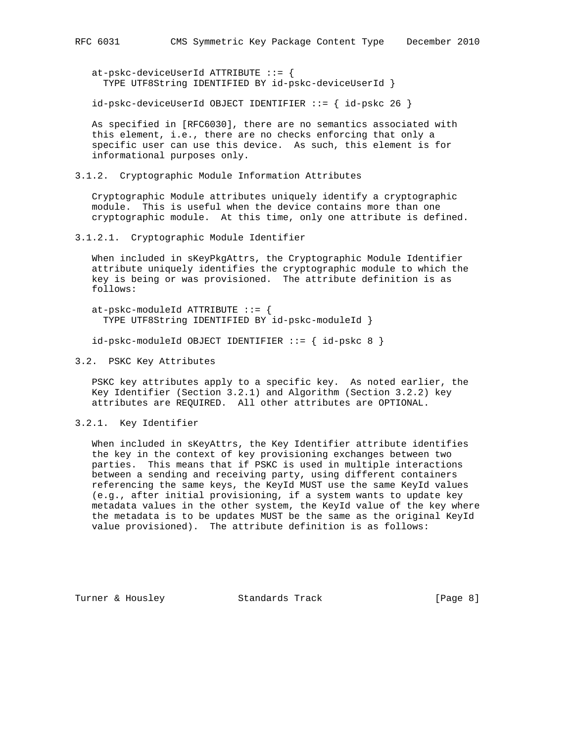at-pskc-deviceUserId ATTRIBUTE ::= {

TYPE UTF8String IDENTIFIED BY id-pskc-deviceUserId }

id-pskc-deviceUserId OBJECT IDENTIFIER ::= { id-pskc 26 }

 As specified in [RFC6030], there are no semantics associated with this element, i.e., there are no checks enforcing that only a specific user can use this device. As such, this element is for informational purposes only.

3.1.2. Cryptographic Module Information Attributes

 Cryptographic Module attributes uniquely identify a cryptographic module. This is useful when the device contains more than one cryptographic module. At this time, only one attribute is defined.

3.1.2.1. Cryptographic Module Identifier

 When included in sKeyPkgAttrs, the Cryptographic Module Identifier attribute uniquely identifies the cryptographic module to which the key is being or was provisioned. The attribute definition is as follows:

 at-pskc-moduleId ATTRIBUTE ::= { TYPE UTF8String IDENTIFIED BY id-pskc-moduleId }

id-pskc-moduleId OBJECT IDENTIFIER ::= { id-pskc 8 }

3.2. PSKC Key Attributes

 PSKC key attributes apply to a specific key. As noted earlier, the Key Identifier (Section 3.2.1) and Algorithm (Section 3.2.2) key attributes are REQUIRED. All other attributes are OPTIONAL.

3.2.1. Key Identifier

 When included in sKeyAttrs, the Key Identifier attribute identifies the key in the context of key provisioning exchanges between two parties. This means that if PSKC is used in multiple interactions between a sending and receiving party, using different containers referencing the same keys, the KeyId MUST use the same KeyId values (e.g., after initial provisioning, if a system wants to update key metadata values in the other system, the KeyId value of the key where the metadata is to be updates MUST be the same as the original KeyId value provisioned). The attribute definition is as follows:

Turner & Housley Standards Track [Page 8]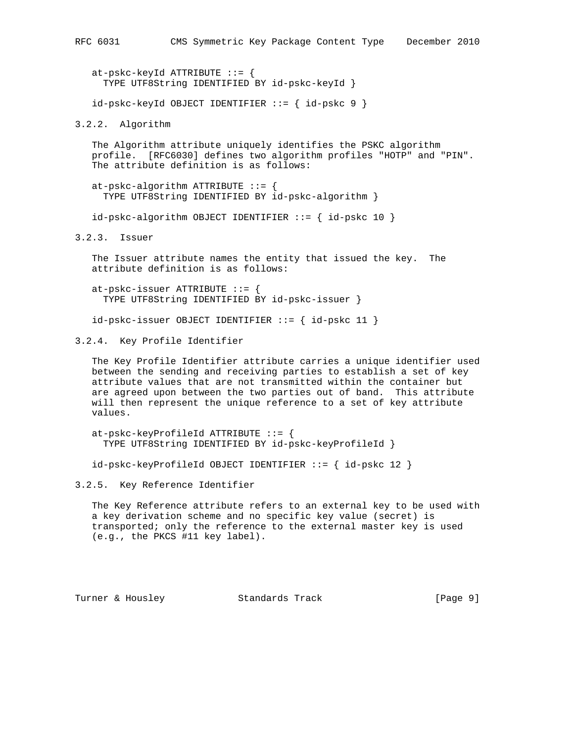at-pskc-keyId ATTRIBUTE ::= { TYPE UTF8String IDENTIFIED BY id-pskc-keyId }

id-pskc-keyId OBJECT IDENTIFIER ::= { id-pskc 9 }

3.2.2. Algorithm

 The Algorithm attribute uniquely identifies the PSKC algorithm profile. [RFC6030] defines two algorithm profiles "HOTP" and "PIN". The attribute definition is as follows:

at-pskc-algorithm ATTRIBUTE  $::=$  { TYPE UTF8String IDENTIFIED BY id-pskc-algorithm }

 $id-pskc-algorithms$  OBJECT IDENTIFIER ::= {  $id-pskc 10$  }

3.2.3. Issuer

 The Issuer attribute names the entity that issued the key. The attribute definition is as follows:

 at-pskc-issuer ATTRIBUTE ::= { TYPE UTF8String IDENTIFIED BY id-pskc-issuer }

id-pskc-issuer OBJECT IDENTIFIER ::= { id-pskc 11 }

3.2.4. Key Profile Identifier

 The Key Profile Identifier attribute carries a unique identifier used between the sending and receiving parties to establish a set of key attribute values that are not transmitted within the container but are agreed upon between the two parties out of band. This attribute will then represent the unique reference to a set of key attribute values.

 at-pskc-keyProfileId ATTRIBUTE ::= { TYPE UTF8String IDENTIFIED BY id-pskc-keyProfileId }

id-pskc-keyProfileId OBJECT IDENTIFIER ::= { id-pskc 12 }

3.2.5. Key Reference Identifier

 The Key Reference attribute refers to an external key to be used with a key derivation scheme and no specific key value (secret) is transported; only the reference to the external master key is used (e.g., the PKCS #11 key label).

Turner & Housley Standards Track [Paqe 9]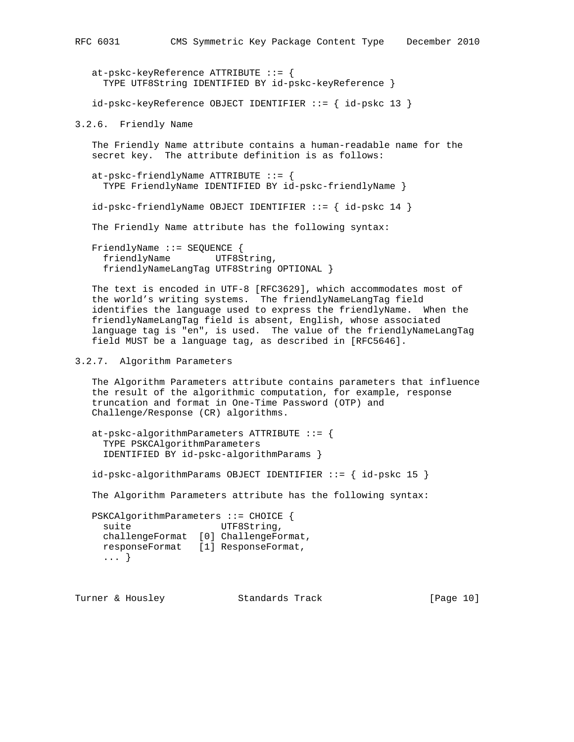at-pskc-keyReference ATTRIBUTE ::= { TYPE UTF8String IDENTIFIED BY id-pskc-keyReference } id-pskc-keyReference OBJECT IDENTIFIER ::= { id-pskc 13 }

3.2.6. Friendly Name

 The Friendly Name attribute contains a human-readable name for the secret key. The attribute definition is as follows:

at-pskc-friendlyName ATTRIBUTE  $::=$  { TYPE FriendlyName IDENTIFIED BY id-pskc-friendlyName }

id-pskc-friendlyName OBJECT IDENTIFIER ::= { id-pskc 14 }

The Friendly Name attribute has the following syntax:

 FriendlyName ::= SEQUENCE { friendlyName UTF8String, friendlyNameLangTag UTF8String OPTIONAL }

 The text is encoded in UTF-8 [RFC3629], which accommodates most of the world's writing systems. The friendlyNameLangTag field identifies the language used to express the friendlyName. When the friendlyNameLangTag field is absent, English, whose associated language tag is "en", is used. The value of the friendlyNameLangTag field MUST be a language tag, as described in [RFC5646].

## 3.2.7. Algorithm Parameters

 The Algorithm Parameters attribute contains parameters that influence the result of the algorithmic computation, for example, response truncation and format in One-Time Password (OTP) and Challenge/Response (CR) algorithms.

```
 at-pskc-algorithmParameters ATTRIBUTE ::= {
   TYPE PSKCAlgorithmParameters
   IDENTIFIED BY id-pskc-algorithmParams }
```
id-pskc-algorithmParams OBJECT IDENTIFIER ::= { id-pskc 15 }

The Algorithm Parameters attribute has the following syntax:

```
 PSKCAlgorithmParameters ::= CHOICE {
 suite UTF8String,
  challengeFormat [0] ChallengeFormat,
  responseFormat [1] ResponseFormat,
  ... }
```
Turner & Housley **Standards Track** [Page 10]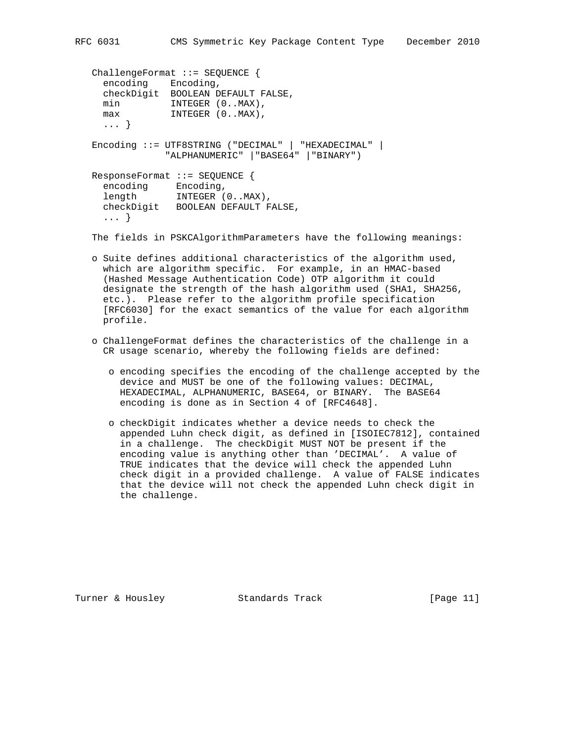```
 ChallengeFormat ::= SEQUENCE {
     encoding Encoding,
    checkDigit BOOLEAN DEFAULT FALSE,<br>min INTEGER (0..MAX),
           INTEGER (0..MAX),
    max INTEGER (0..MAX),
     ... }
   Encoding ::= UTF8STRING ("DECIMAL" | "HEXADECIMAL" |
                "ALPHANUMERIC" |"BASE64" |"BINARY")
   ResponseFormat ::= SEQUENCE {
encoding Encoding,
 length INTEGER (0..MAX),
     checkDigit BOOLEAN DEFAULT FALSE,
     ... }
```
The fields in PSKCAlgorithmParameters have the following meanings:

- o Suite defines additional characteristics of the algorithm used, which are algorithm specific. For example, in an HMAC-based (Hashed Message Authentication Code) OTP algorithm it could designate the strength of the hash algorithm used (SHA1, SHA256, etc.). Please refer to the algorithm profile specification [RFC6030] for the exact semantics of the value for each algorithm profile.
- o ChallengeFormat defines the characteristics of the challenge in a CR usage scenario, whereby the following fields are defined:
	- o encoding specifies the encoding of the challenge accepted by the device and MUST be one of the following values: DECIMAL, HEXADECIMAL, ALPHANUMERIC, BASE64, or BINARY. The BASE64 encoding is done as in Section 4 of [RFC4648].
	- o checkDigit indicates whether a device needs to check the appended Luhn check digit, as defined in [ISOIEC7812], contained in a challenge. The checkDigit MUST NOT be present if the encoding value is anything other than 'DECIMAL'. A value of TRUE indicates that the device will check the appended Luhn check digit in a provided challenge. A value of FALSE indicates that the device will not check the appended Luhn check digit in the challenge.

Turner & Housley Standards Track [Page 11]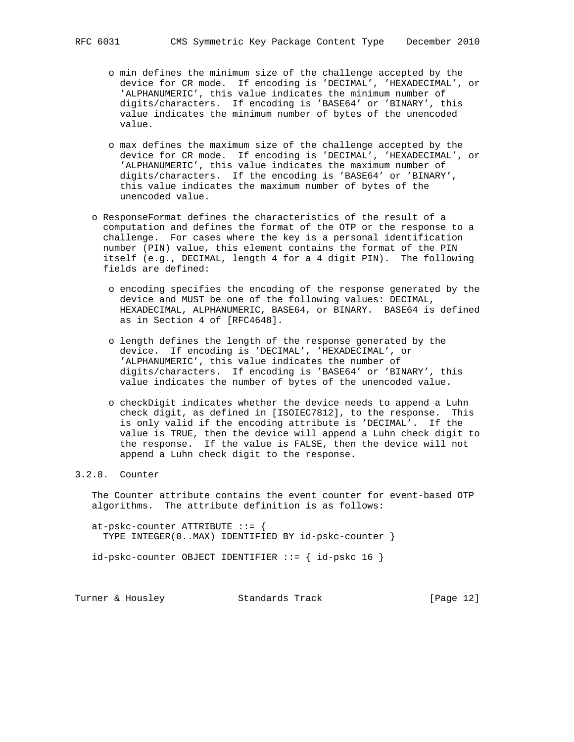- o min defines the minimum size of the challenge accepted by the device for CR mode. If encoding is 'DECIMAL', 'HEXADECIMAL', or 'ALPHANUMERIC', this value indicates the minimum number of digits/characters. If encoding is 'BASE64' or 'BINARY', this value indicates the minimum number of bytes of the unencoded value.
- o max defines the maximum size of the challenge accepted by the device for CR mode. If encoding is 'DECIMAL', 'HEXADECIMAL', or 'ALPHANUMERIC', this value indicates the maximum number of digits/characters. If the encoding is 'BASE64' or 'BINARY', this value indicates the maximum number of bytes of the unencoded value.
- o ResponseFormat defines the characteristics of the result of a computation and defines the format of the OTP or the response to a challenge. For cases where the key is a personal identification number (PIN) value, this element contains the format of the PIN itself (e.g., DECIMAL, length 4 for a 4 digit PIN). The following fields are defined:
	- o encoding specifies the encoding of the response generated by the device and MUST be one of the following values: DECIMAL, HEXADECIMAL, ALPHANUMERIC, BASE64, or BINARY. BASE64 is defined as in Section 4 of [RFC4648].
	- o length defines the length of the response generated by the device. If encoding is 'DECIMAL', 'HEXADECIMAL', or 'ALPHANUMERIC', this value indicates the number of digits/characters. If encoding is 'BASE64' or 'BINARY', this value indicates the number of bytes of the unencoded value.
	- o checkDigit indicates whether the device needs to append a Luhn check digit, as defined in [ISOIEC7812], to the response. This is only valid if the encoding attribute is 'DECIMAL'. If the value is TRUE, then the device will append a Luhn check digit to the response. If the value is FALSE, then the device will not append a Luhn check digit to the response.

# 3.2.8. Counter

 The Counter attribute contains the event counter for event-based OTP algorithms. The attribute definition is as follows:

 at-pskc-counter ATTRIBUTE ::= { TYPE INTEGER(0..MAX) IDENTIFIED BY id-pskc-counter }

id-pskc-counter OBJECT IDENTIFIER ::= { id-pskc 16 }

Turner & Housley Standards Track [Page 12]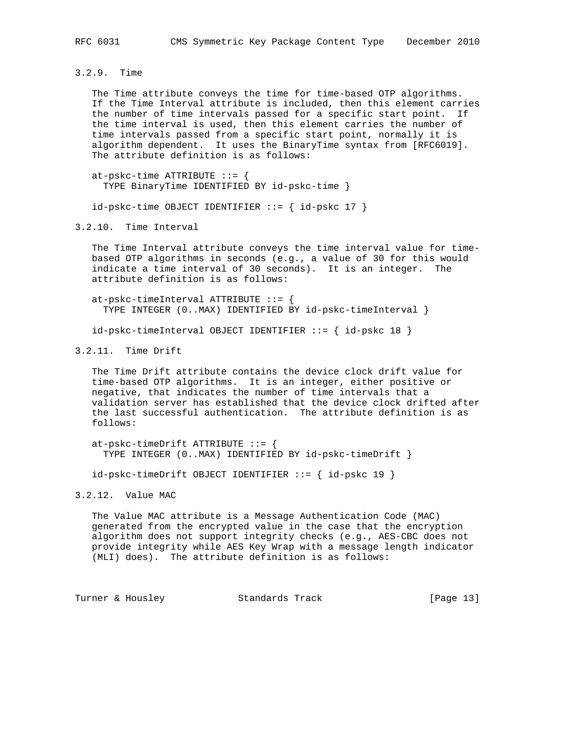3.2.9. Time

 The Time attribute conveys the time for time-based OTP algorithms. If the Time Interval attribute is included, then this element carries the number of time intervals passed for a specific start point. If the time interval is used, then this element carries the number of time intervals passed from a specific start point, normally it is algorithm dependent. It uses the BinaryTime syntax from [RFC6019]. The attribute definition is as follows:

at-pskc-time ATTRIBUTE  $::=$  { TYPE BinaryTime IDENTIFIED BY id-pskc-time }

 $id-pskc-time OBJECT IDENTIFYER ::= { id-pskc 17 }$ 

3.2.10. Time Interval

 The Time Interval attribute conveys the time interval value for time based OTP algorithms in seconds (e.g., a value of 30 for this would indicate a time interval of 30 seconds). It is an integer. The attribute definition is as follows:

at-pskc-timeInterval ATTRIBUTE  $::=$  { TYPE INTEGER (0..MAX) IDENTIFIED BY id-pskc-timeInterval }

 $id-pskc-timelnterval OBJECT IDENTIFIER ::= { id-pskc 18 }$ 

3.2.11. Time Drift

 The Time Drift attribute contains the device clock drift value for time-based OTP algorithms. It is an integer, either positive or negative, that indicates the number of time intervals that a validation server has established that the device clock drifted after the last successful authentication. The attribute definition is as follows:

at-pskc-timeDrift ATTRIBUTE  $::=$  { TYPE INTEGER (0..MAX) IDENTIFIED BY id-pskc-timeDrift }

id-pskc-timeDrift OBJECT IDENTIFIER ::= { id-pskc 19 }

3.2.12. Value MAC

 The Value MAC attribute is a Message Authentication Code (MAC) generated from the encrypted value in the case that the encryption algorithm does not support integrity checks (e.g., AES-CBC does not provide integrity while AES Key Wrap with a message length indicator (MLI) does). The attribute definition is as follows:

Turner & Housley **Standards Track** [Page 13]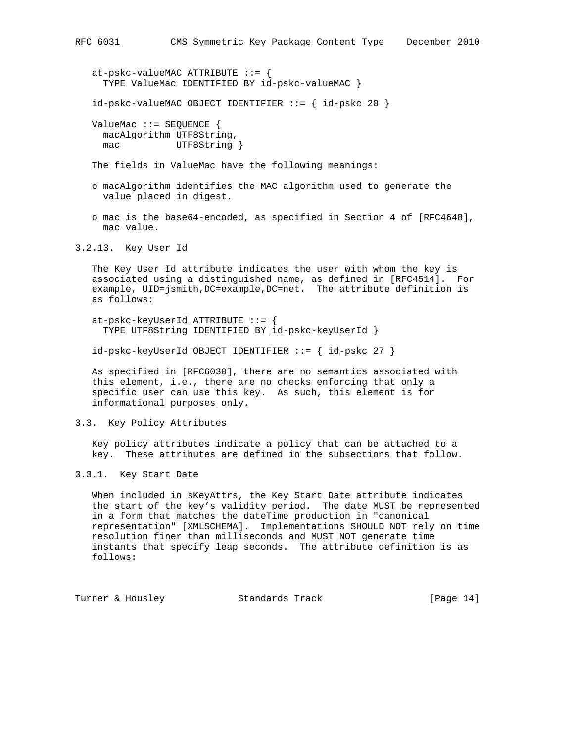at-pskc-valueMAC ATTRIBUTE ::= { TYPE ValueMac IDENTIFIED BY id-pskc-valueMAC }

 $id-pskc-valueMAC$  OBJECT IDENTIFIER  $::=$  {  $id-pskc$  20 }

 ValueMac ::= SEQUENCE { macAlgorithm UTF8String, mac UTF8String }

The fields in ValueMac have the following meanings:

- o macAlgorithm identifies the MAC algorithm used to generate the value placed in digest.
- o mac is the base64-encoded, as specified in Section 4 of [RFC4648], mac value.

3.2.13. Key User Id

 The Key User Id attribute indicates the user with whom the key is associated using a distinguished name, as defined in [RFC4514]. For example, UID=jsmith,DC=example,DC=net. The attribute definition is as follows:

 at-pskc-keyUserId ATTRIBUTE ::= { TYPE UTF8String IDENTIFIED BY id-pskc-keyUserId }

id-pskc-keyUserId OBJECT IDENTIFIER ::= { id-pskc 27 }

 As specified in [RFC6030], there are no semantics associated with this element, i.e., there are no checks enforcing that only a specific user can use this key. As such, this element is for informational purposes only.

#### 3.3. Key Policy Attributes

 Key policy attributes indicate a policy that can be attached to a key. These attributes are defined in the subsections that follow.

# 3.3.1. Key Start Date

 When included in sKeyAttrs, the Key Start Date attribute indicates the start of the key's validity period. The date MUST be represented in a form that matches the dateTime production in "canonical representation" [XMLSCHEMA]. Implementations SHOULD NOT rely on time resolution finer than milliseconds and MUST NOT generate time instants that specify leap seconds. The attribute definition is as follows:

Turner & Housley Standards Track [Page 14]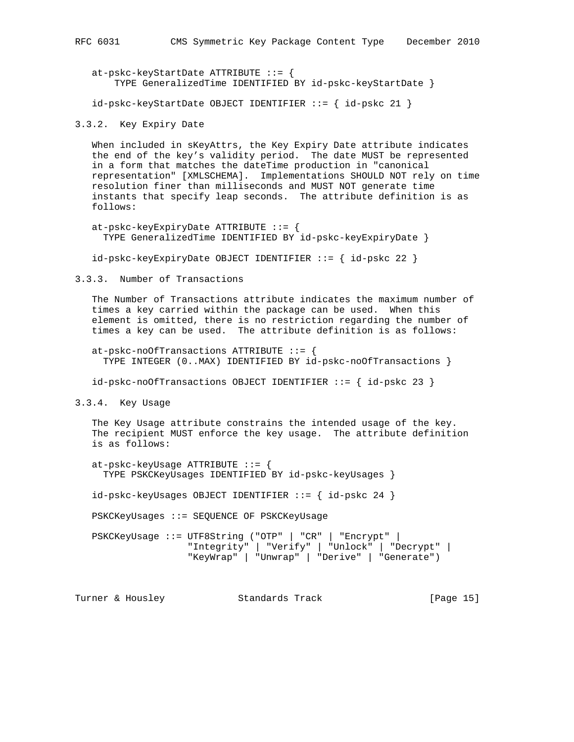at-pskc-keyStartDate ATTRIBUTE ::= { TYPE GeneralizedTime IDENTIFIED BY id-pskc-keyStartDate }

id-pskc-keyStartDate OBJECT IDENTIFIER ::= { id-pskc 21 }

3.3.2. Key Expiry Date

 When included in sKeyAttrs, the Key Expiry Date attribute indicates the end of the key's validity period. The date MUST be represented in a form that matches the dateTime production in "canonical representation" [XMLSCHEMA]. Implementations SHOULD NOT rely on time resolution finer than milliseconds and MUST NOT generate time instants that specify leap seconds. The attribute definition is as follows:

 at-pskc-keyExpiryDate ATTRIBUTE ::= { TYPE GeneralizedTime IDENTIFIED BY id-pskc-keyExpiryDate }

id-pskc-keyExpiryDate OBJECT IDENTIFIER ::= { id-pskc 22 }

3.3.3. Number of Transactions

 The Number of Transactions attribute indicates the maximum number of times a key carried within the package can be used. When this element is omitted, there is no restriction regarding the number of times a key can be used. The attribute definition is as follows:

 at-pskc-noOfTransactions ATTRIBUTE ::= { TYPE INTEGER (0..MAX) IDENTIFIED BY id-pskc-noOfTransactions }

 $id-pskc-noOfTransactions OBJECT IDENTIFIER ::= { id-pskc 23 }$ 

3.3.4. Key Usage

 The Key Usage attribute constrains the intended usage of the key. The recipient MUST enforce the key usage. The attribute definition is as follows:

 at-pskc-keyUsage ATTRIBUTE ::= { TYPE PSKCKeyUsages IDENTIFIED BY id-pskc-keyUsages }

id-pskc-keyUsages OBJECT IDENTIFIER ::= { id-pskc 24 }

PSKCKeyUsages ::= SEQUENCE OF PSKCKeyUsage

 PSKCKeyUsage ::= UTF8String ("OTP" | "CR" | "Encrypt" | "Integrity" | "Verify" | "Unlock" | "Decrypt" | "KeyWrap" | "Unwrap" | "Derive" | "Generate")

Turner & Housley **Standards Track** [Page 15]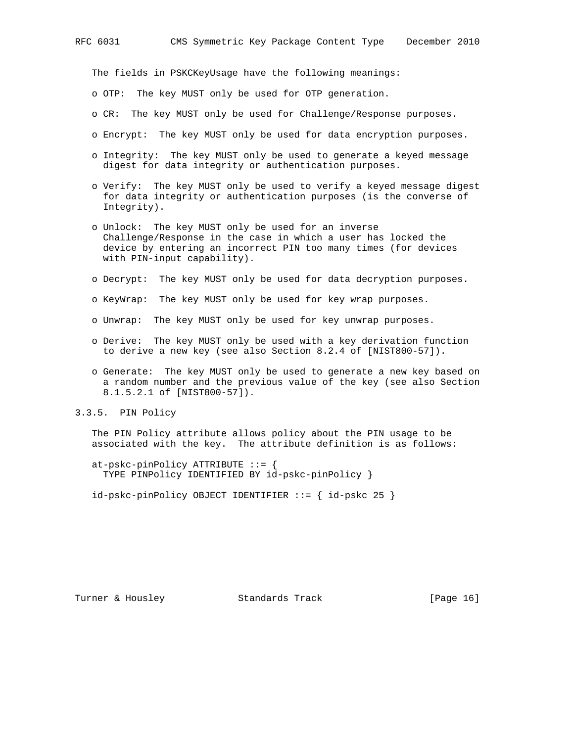The fields in PSKCKeyUsage have the following meanings:

- o OTP: The key MUST only be used for OTP generation.
- o CR: The key MUST only be used for Challenge/Response purposes.
- o Encrypt: The key MUST only be used for data encryption purposes.
- o Integrity: The key MUST only be used to generate a keyed message digest for data integrity or authentication purposes.
- o Verify: The key MUST only be used to verify a keyed message digest for data integrity or authentication purposes (is the converse of Integrity).
- o Unlock: The key MUST only be used for an inverse Challenge/Response in the case in which a user has locked the device by entering an incorrect PIN too many times (for devices with PIN-input capability).
- o Decrypt: The key MUST only be used for data decryption purposes.
- o KeyWrap: The key MUST only be used for key wrap purposes.
- o Unwrap: The key MUST only be used for key unwrap purposes.
- o Derive: The key MUST only be used with a key derivation function to derive a new key (see also Section 8.2.4 of [NIST800-57]).
- o Generate: The key MUST only be used to generate a new key based on a random number and the previous value of the key (see also Section 8.1.5.2.1 of [NIST800-57]).
- 3.3.5. PIN Policy

 The PIN Policy attribute allows policy about the PIN usage to be associated with the key. The attribute definition is as follows:

 at-pskc-pinPolicy ATTRIBUTE ::= { TYPE PINPolicy IDENTIFIED BY id-pskc-pinPolicy }

 $id-pskc-pinPolicy OBJECT IDENTIFYER ::= { id-pskc 25 }$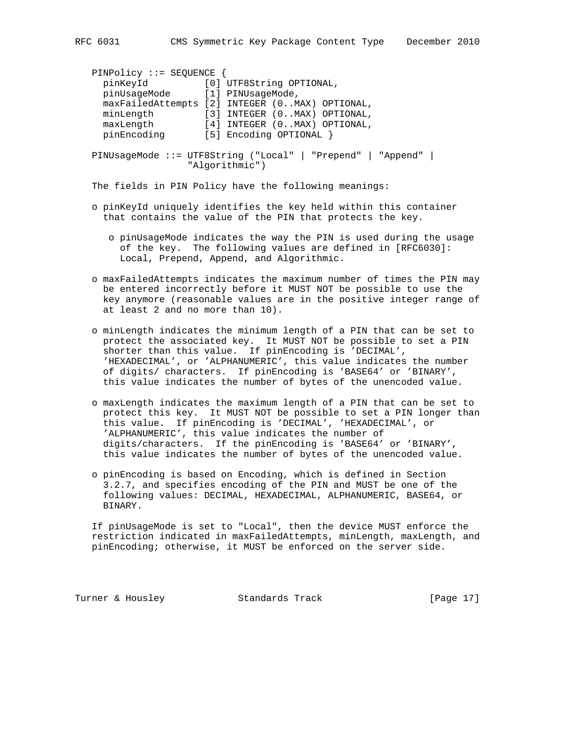| $PINPolicy :: = SEOUENCE$      |                                                             |
|--------------------------------|-------------------------------------------------------------|
| pinKeyId                       | [0] UTF8String OPTIONAL,                                    |
| pinUsaqeMode [1] PINUsaqeMode, |                                                             |
|                                | maxFailedAttempts [2] INTEGER (0MAX) OPTIONAL,              |
| minLength                      | [3] INTEGER (0MAX) OPTIONAL,                                |
| maxLength                      | [4] INTEGER (0MAX) OPTIONAL,                                |
| pinEncoding                    | [5] Encoding OPTIONAL }                                     |
|                                |                                                             |
|                                | PINUsageMode ::= UTF8String ("Local"   "Prepend"   "Append" |
|                                | "Algorithmic")                                              |

The fields in PIN Policy have the following meanings:

- o pinKeyId uniquely identifies the key held within this container that contains the value of the PIN that protects the key.
	- o pinUsageMode indicates the way the PIN is used during the usage of the key. The following values are defined in [RFC6030]: Local, Prepend, Append, and Algorithmic.
- o maxFailedAttempts indicates the maximum number of times the PIN may be entered incorrectly before it MUST NOT be possible to use the key anymore (reasonable values are in the positive integer range of at least 2 and no more than 10).
- o minLength indicates the minimum length of a PIN that can be set to protect the associated key. It MUST NOT be possible to set a PIN shorter than this value. If pinEncoding is 'DECIMAL', 'HEXADECIMAL', or 'ALPHANUMERIC', this value indicates the number of digits/ characters. If pinEncoding is 'BASE64' or 'BINARY', this value indicates the number of bytes of the unencoded value.
- o maxLength indicates the maximum length of a PIN that can be set to protect this key. It MUST NOT be possible to set a PIN longer than this value. If pinEncoding is 'DECIMAL', 'HEXADECIMAL', or 'ALPHANUMERIC', this value indicates the number of digits/characters. If the pinEncoding is 'BASE64' or 'BINARY', this value indicates the number of bytes of the unencoded value.
- o pinEncoding is based on Encoding, which is defined in Section 3.2.7, and specifies encoding of the PIN and MUST be one of the following values: DECIMAL, HEXADECIMAL, ALPHANUMERIC, BASE64, or BINARY.

 If pinUsageMode is set to "Local", then the device MUST enforce the restriction indicated in maxFailedAttempts, minLength, maxLength, and pinEncoding; otherwise, it MUST be enforced on the server side.

Turner & Housley Standards Track [Page 17]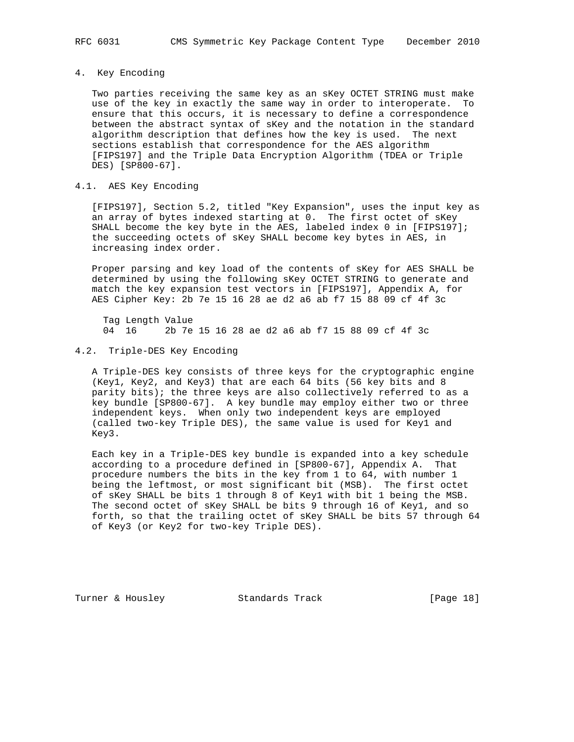## 4. Key Encoding

 Two parties receiving the same key as an sKey OCTET STRING must make use of the key in exactly the same way in order to interoperate. To ensure that this occurs, it is necessary to define a correspondence between the abstract syntax of sKey and the notation in the standard algorithm description that defines how the key is used. The next sections establish that correspondence for the AES algorithm [FIPS197] and the Triple Data Encryption Algorithm (TDEA or Triple DES) [SP800-67].

## 4.1. AES Key Encoding

 [FIPS197], Section 5.2, titled "Key Expansion", uses the input key as an array of bytes indexed starting at 0. The first octet of sKey SHALL become the key byte in the AES, labeled index 0 in [FIPS197]; the succeeding octets of sKey SHALL become key bytes in AES, in increasing index order.

 Proper parsing and key load of the contents of sKey for AES SHALL be determined by using the following sKey OCTET STRING to generate and match the key expansion test vectors in [FIPS197], Appendix A, for AES Cipher Key: 2b 7e 15 16 28 ae d2 a6 ab f7 15 88 09 cf 4f 3c

Tag Length Value<br>04 16 2b 7e 04 16 2b 7e 15 16 28 ae d2 a6 ab f7 15 88 09 cf 4f 3c

# 4.2. Triple-DES Key Encoding

 A Triple-DES key consists of three keys for the cryptographic engine (Key1, Key2, and Key3) that are each 64 bits (56 key bits and 8 parity bits); the three keys are also collectively referred to as a key bundle [SP800-67]. A key bundle may employ either two or three independent keys. When only two independent keys are employed (called two-key Triple DES), the same value is used for Key1 and Key3.

 Each key in a Triple-DES key bundle is expanded into a key schedule according to a procedure defined in [SP800-67], Appendix A. That procedure numbers the bits in the key from 1 to 64, with number 1 being the leftmost, or most significant bit (MSB). The first octet of sKey SHALL be bits 1 through 8 of Key1 with bit 1 being the MSB. The second octet of sKey SHALL be bits 9 through 16 of Key1, and so forth, so that the trailing octet of sKey SHALL be bits 57 through 64 of Key3 (or Key2 for two-key Triple DES).

Turner & Housley Standards Track [Page 18]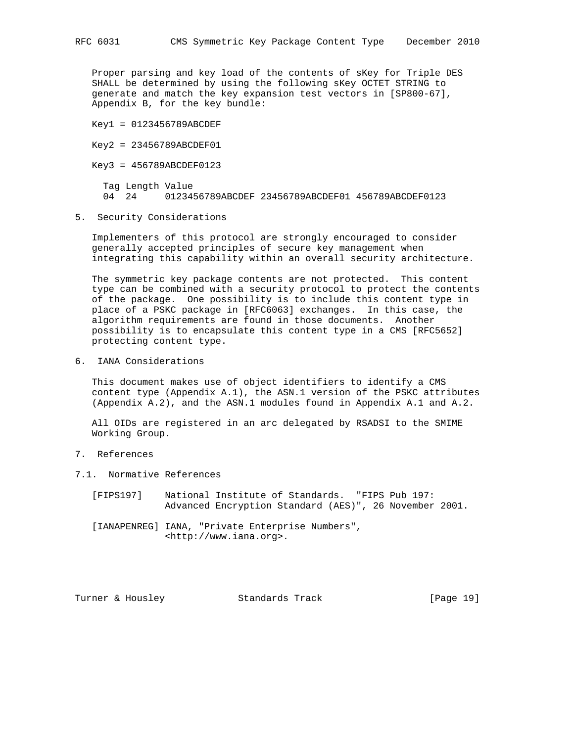Proper parsing and key load of the contents of sKey for Triple DES SHALL be determined by using the following sKey OCTET STRING to generate and match the key expansion test vectors in [SP800-67], Appendix B, for the key bundle:

Key1 = 0123456789ABCDEF

Key2 = 23456789ABCDEF01

Key3 = 456789ABCDEF0123

Tag Length Value<br>04 24 01234! 04 24 0123456789ABCDEF 23456789ABCDEF01 456789ABCDEF0123

5. Security Considerations

 Implementers of this protocol are strongly encouraged to consider generally accepted principles of secure key management when integrating this capability within an overall security architecture.

 The symmetric key package contents are not protected. This content type can be combined with a security protocol to protect the contents of the package. One possibility is to include this content type in place of a PSKC package in [RFC6063] exchanges. In this case, the algorithm requirements are found in those documents. Another possibility is to encapsulate this content type in a CMS [RFC5652] protecting content type.

6. IANA Considerations

 This document makes use of object identifiers to identify a CMS content type (Appendix A.1), the ASN.1 version of the PSKC attributes (Appendix A.2), and the ASN.1 modules found in Appendix A.1 and A.2.

 All OIDs are registered in an arc delegated by RSADSI to the SMIME Working Group.

- 7. References
- 7.1. Normative References
	- [FIPS197] National Institute of Standards. "FIPS Pub 197: Advanced Encryption Standard (AES)", 26 November 2001.
	- [IANAPENREG] IANA, "Private Enterprise Numbers", <http://www.iana.org>.

Turner & Housley Standards Track [Page 19]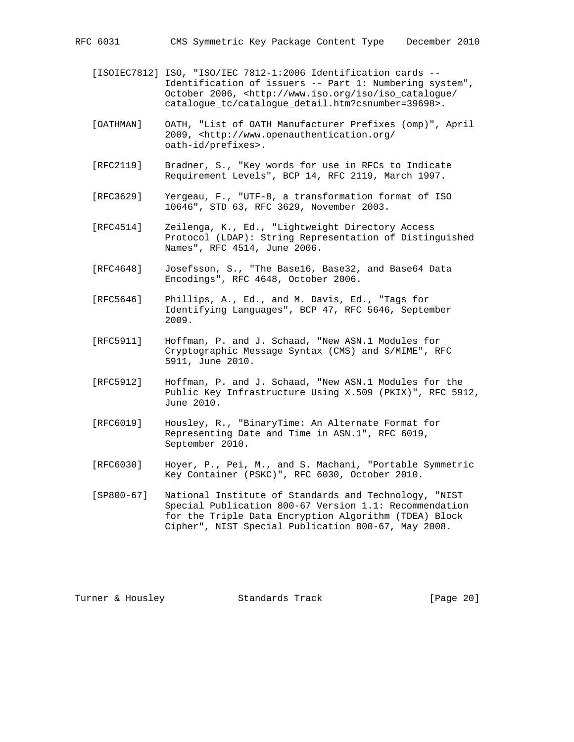RFC 6031 CMS Symmetric Key Package Content Type December 2010

- [ISOIEC7812] ISO, "ISO/IEC 7812-1:2006 Identification cards -- Identification of issuers -- Part 1: Numbering system", October 2006, <http://www.iso.org/iso/iso\_catalogue/ catalogue\_tc/catalogue\_detail.htm?csnumber=39698>.
- [OATHMAN] OATH, "List of OATH Manufacturer Prefixes (omp)", April 2009, <http://www.openauthentication.org/ oath-id/prefixes>.
- [RFC2119] Bradner, S., "Key words for use in RFCs to Indicate Requirement Levels", BCP 14, RFC 2119, March 1997.
- [RFC3629] Yergeau, F., "UTF-8, a transformation format of ISO 10646", STD 63, RFC 3629, November 2003.
- [RFC4514] Zeilenga, K., Ed., "Lightweight Directory Access Protocol (LDAP): String Representation of Distinguished Names", RFC 4514, June 2006.
- [RFC4648] Josefsson, S., "The Base16, Base32, and Base64 Data Encodings", RFC 4648, October 2006.
- [RFC5646] Phillips, A., Ed., and M. Davis, Ed., "Tags for Identifying Languages", BCP 47, RFC 5646, September 2009.
- [RFC5911] Hoffman, P. and J. Schaad, "New ASN.1 Modules for Cryptographic Message Syntax (CMS) and S/MIME", RFC 5911, June 2010.
- [RFC5912] Hoffman, P. and J. Schaad, "New ASN.1 Modules for the Public Key Infrastructure Using X.509 (PKIX)", RFC 5912, June 2010.
- [RFC6019] Housley, R., "BinaryTime: An Alternate Format for Representing Date and Time in ASN.1", RFC 6019, September 2010.
- [RFC6030] Hoyer, P., Pei, M., and S. Machani, "Portable Symmetric Key Container (PSKC)", RFC 6030, October 2010.
- [SP800-67] National Institute of Standards and Technology, "NIST Special Publication 800-67 Version 1.1: Recommendation for the Triple Data Encryption Algorithm (TDEA) Block Cipher", NIST Special Publication 800-67, May 2008.

Turner & Housley Standards Track [Page 20]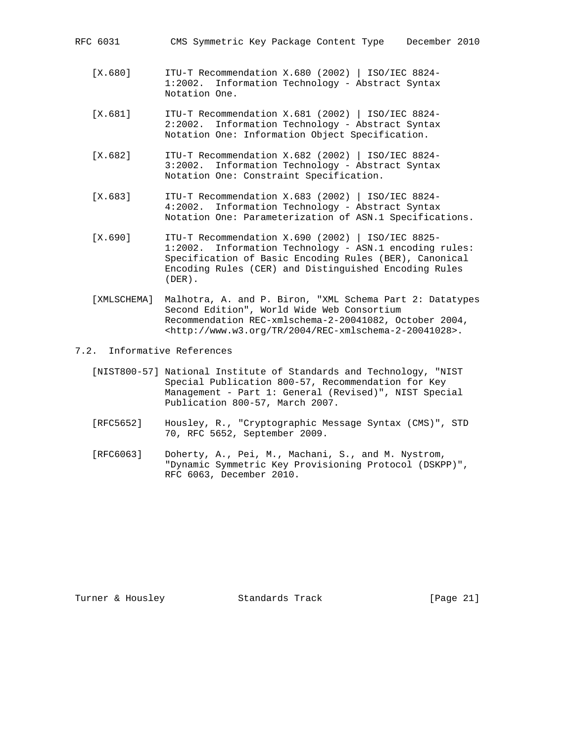| RFC 6031 |  | CMS Symmetric Key Package Content Type |  |  |  |  | December 2010 |  |
|----------|--|----------------------------------------|--|--|--|--|---------------|--|
|----------|--|----------------------------------------|--|--|--|--|---------------|--|

- [X.680] ITU-T Recommendation X.680 (2002) | ISO/IEC 8824- 1:2002. Information Technology - Abstract Syntax Notation One.
- [X.681] ITU-T Recommendation X.681 (2002) | ISO/IEC 8824- 2:2002. Information Technology - Abstract Syntax Notation One: Information Object Specification.
- [X.682] ITU-T Recommendation X.682 (2002) | ISO/IEC 8824- 3:2002. Information Technology - Abstract Syntax Notation One: Constraint Specification.
- [X.683] ITU-T Recommendation X.683 (2002) | ISO/IEC 8824- 4:2002. Information Technology - Abstract Syntax Notation One: Parameterization of ASN.1 Specifications.
- [X.690] ITU-T Recommendation X.690 (2002) | ISO/IEC 8825- 1:2002. Information Technology - ASN.1 encoding rules: Specification of Basic Encoding Rules (BER), Canonical Encoding Rules (CER) and Distinguished Encoding Rules (DER).
- [XMLSCHEMA] Malhotra, A. and P. Biron, "XML Schema Part 2: Datatypes Second Edition", World Wide Web Consortium Recommendation REC-xmlschema-2-20041082, October 2004, <http://www.w3.org/TR/2004/REC-xmlschema-2-20041028>.
- 7.2. Informative References
	- [NIST800-57] National Institute of Standards and Technology, "NIST Special Publication 800-57, Recommendation for Key Management - Part 1: General (Revised)", NIST Special Publication 800-57, March 2007.
	- [RFC5652] Housley, R., "Cryptographic Message Syntax (CMS)", STD 70, RFC 5652, September 2009.
	- [RFC6063] Doherty, A., Pei, M., Machani, S., and M. Nystrom, "Dynamic Symmetric Key Provisioning Protocol (DSKPP)", RFC 6063, December 2010.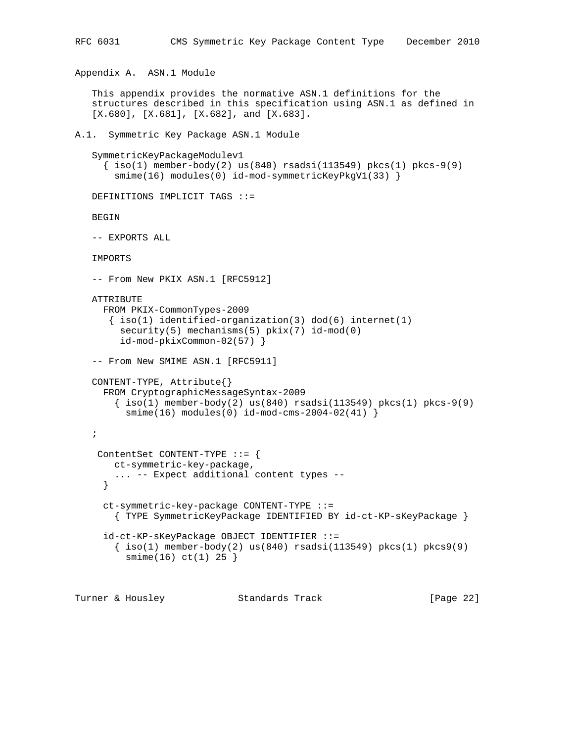```
RFC 6031 CMS Symmetric Key Package Content Type December 2010
Appendix A. ASN.1 Module
    This appendix provides the normative ASN.1 definitions for the
    structures described in this specification using ASN.1 as defined in
   [X.680], [X.681], [X.682], and [X.683].
A.1. Symmetric Key Package ASN.1 Module
    SymmetricKeyPackageModulev1
     \{\text{iso}(1) \text{ member-body}(2) \text{ us}(840) \text{ rsadsi}(113549) \text{ pkcs}(1) \text{ pkcs-9}(9)\}smime(16) modules(0) id-mod-symmetricKeyPkgV1(33) }
    DEFINITIONS IMPLICIT TAGS ::=
    BEGIN
    -- EXPORTS ALL
    IMPORTS
   -- From New PKIX ASN.1 [RFC5912]
    ATTRIBUTE
      FROM PKIX-CommonTypes-2009
       \{ iso(1) <i>identified-organization(3) <math> dod(6) <i>internet(1)</i>security(5) mechanisms(5) pkix(7) id-mod(0)
          id-mod-pkixCommon-02(57) }
   -- From New SMIME ASN.1 [RFC5911]
    CONTENT-TYPE, Attribute{}
      FROM CryptographicMessageSyntax-2009
        \{\text{iso}(1) \text{ member-body}(2) \text{ us}(840) \text{ rsadsi}(113549) \text{ pkcs}(1) \text{ pkcs-9}(9) smime(16) modules(0) id-mod-cms-2004-02(41) }
    ;
     ContentSet CONTENT-TYPE ::= {
        ct-symmetric-key-package,
         ... -- Expect additional content types --
      }
      ct-symmetric-key-package CONTENT-TYPE ::=
         { TYPE SymmetricKeyPackage IDENTIFIED BY id-ct-KP-sKeyPackage }
      id-ct-KP-sKeyPackage OBJECT IDENTIFIER ::=
        \{\text{iso}(1) \text{ member-body}(2) \text{ us}(840) \text{ rsadsi}(113549) \text{ pkcs}(1) \text{ pkcs}(9)\} smime(16) ct(1) 25 }
```
Turner & Housley Standards Track [Page 22]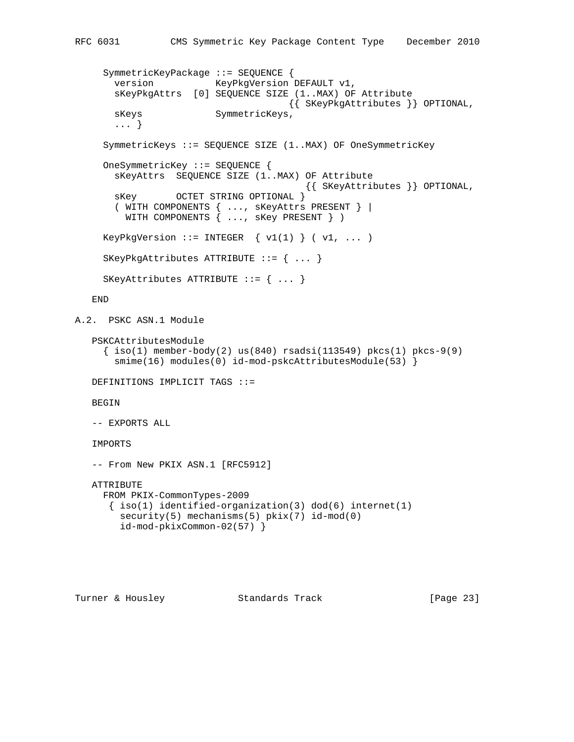```
 SymmetricKeyPackage ::= SEQUENCE {
       version KeyPkgVersion DEFAULT v1,
        sKeyPkgAttrs [0] SEQUENCE SIZE (1..MAX) OF Attribute
                                         {{ SKeyPkgAttributes }} OPTIONAL,
       sKeys SymmetricKeys,
        ... }
      SymmetricKeys ::= SEQUENCE SIZE (1..MAX) OF OneSymmetricKey
      OneSymmetricKey ::= SEQUENCE {
        sKeyAttrs SEQUENCE SIZE (1..MAX) OF Attribute
                                      {{ SKeyAttributes }} OPTIONAL,
        sKey OCTET STRING OPTIONAL }
        ( WITH COMPONENTS { ..., sKeyAttrs PRESENT } |
         WITH COMPONENTS \{ \ldots, \text{ sKey PRESENT } \} )
     KeyPkgVersion ::= INTEGER \{ v1(1) \} ( v1, ... ) SKeyPkgAttributes ATTRIBUTE ::= { ... }
      SKeyAttributes ATTRIBUTE ::= { ... }
    END
A.2. PSKC ASN.1 Module
    PSKCAttributesModule
     \{\text{iso}(1) \text{ member-body}(2) \text{ us}(840) \text{ rsadsi}(113549) \text{ pkcs}(1) \text{ pkcs-9}(9)smime(16) modules(0) id-mod-pskcAttributesModule(53) }
    DEFINITIONS IMPLICIT TAGS ::=
    BEGIN
    -- EXPORTS ALL
    IMPORTS
   -- From New PKIX ASN.1 [RFC5912]
    ATTRIBUTE
     FROM PKIX-CommonTypes-2009
      \{ iso(1) <i>identified-organization(3) <math> dod(6) <i>internet(1)</i>security(5) mechanisms(5) pkix(7) id-mod(0)
         id-mod-pkixCommon-02(57) }
```
Turner & Housley Standards Track [Page 23]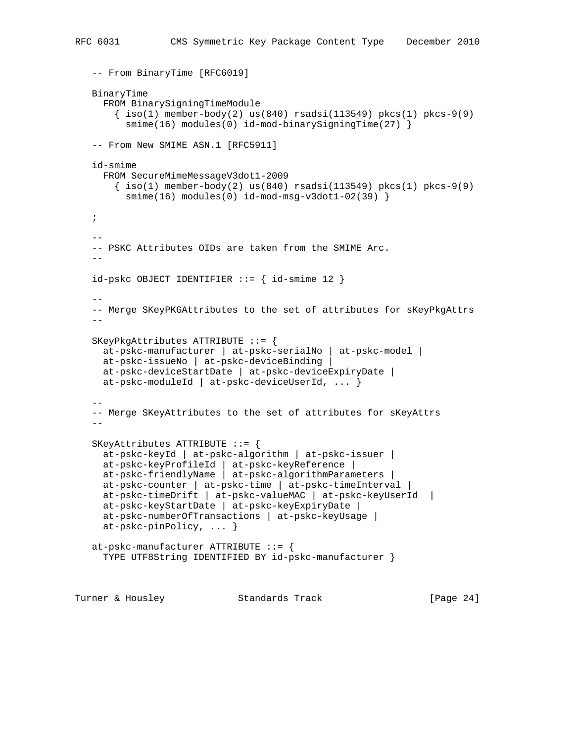```
 -- From BinaryTime [RFC6019]
   BinaryTime
      FROM BinarySigningTimeModule
       \{ iso(1) member-body(2) us(840) rsadsi(113549) pkcs(1) pkcs-9(9)
         smime(16) modules(0) id-mod-binarySigningTime(27) }
  -- From New SMIME ASN.1 [RFC5911]
   id-smime
     FROM SecureMimeMessageV3dot1-2009
      \{\text{iso}(1) \text{ member-body}(2) \text{ us}(840) \text{ rsadsi}(113549) \text{ pkcs}(1) \text{ pkcs-9}(9) smime(16) modules(0) id-mod-msg-v3dot1-02(39) }
   ;
 --
   -- PSKC Attributes OIDs are taken from the SMIME Arc.
  - -id-pskc OBJECT IDENTIFIER ::= { id-smime 12 }
 --
   -- Merge SKeyPKGAttributes to the set of attributes for sKeyPkgAttrs
  - SKeyPkgAttributes ATTRIBUTE ::= {
     at-pskc-manufacturer | at-pskc-serialNo | at-pskc-model |
     at-pskc-issueNo | at-pskc-deviceBinding |
     at-pskc-deviceStartDate | at-pskc-deviceExpiryDate |
     at-pskc-moduleId | at-pskc-deviceUserId, ... }
- -- Merge SKeyAttributes to the set of attributes for sKeyAttrs
 --
   SKeyAttributes ATTRIBUTE ::= {
     at-pskc-keyId | at-pskc-algorithm | at-pskc-issuer |
 at-pskc-keyProfileId | at-pskc-keyReference |
 at-pskc-friendlyName | at-pskc-algorithmParameters |
     at-pskc-counter | at-pskc-time | at-pskc-timeInterval |
     at-pskc-timeDrift | at-pskc-valueMAC | at-pskc-keyUserId |
     at-pskc-keyStartDate | at-pskc-keyExpiryDate |
     at-pskc-numberOfTransactions | at-pskc-keyUsage |
     at-pskc-pinPolicy, ... }
   at-pskc-manufacturer ATTRIBUTE ::= {
     TYPE UTF8String IDENTIFIED BY id-pskc-manufacturer }
```
Turner & Housley Standards Track [Page 24]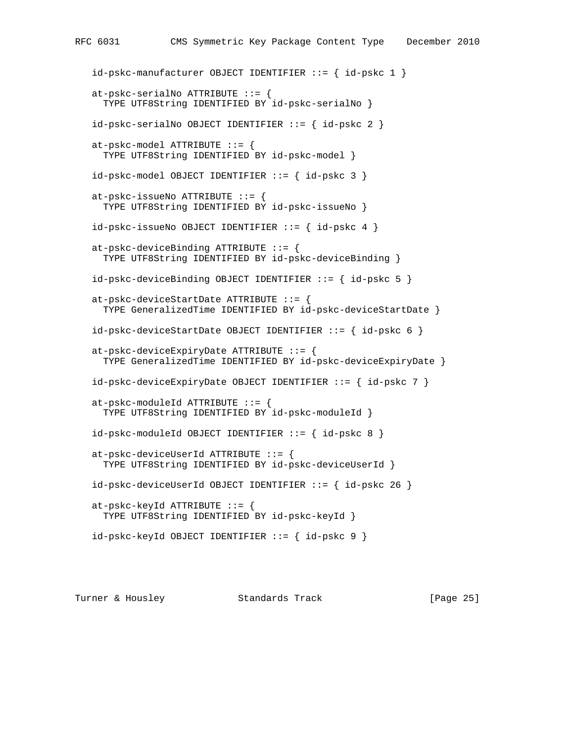```
 id-pskc-manufacturer OBJECT IDENTIFIER ::= { id-pskc 1 }
 at-pskc-serialNo ATTRIBUTE ::= {
   TYPE UTF8String IDENTIFIED BY id-pskc-serialNo }
 id-pskc-serialNo OBJECT IDENTIFIER ::= { id-pskc 2 }
at-pskc-model ATTRIBUTE ::= {
   TYPE UTF8String IDENTIFIED BY id-pskc-model }
 id-pskc-model OBJECT IDENTIFIER ::= { id-pskc 3 }
 at-pskc-issueNo ATTRIBUTE ::= {
  TYPE UTF8String IDENTIFIED BY id-pskc-issueNo }
 id-pskc-issueNo OBJECT IDENTIFIER ::= { id-pskc 4 }
 at-pskc-deviceBinding ATTRIBUTE ::= {
  TYPE UTF8String IDENTIFIED BY id-pskc-deviceBinding }
id-pskc-deviceBinding OBJECT IDENTIFYER ::= { id-pskc 5 } at-pskc-deviceStartDate ATTRIBUTE ::= {
   TYPE GeneralizedTime IDENTIFIED BY id-pskc-deviceStartDate }
id-pskc-deviceStartDate OBJECT IDENTIFIER ::= { id-pskc 6 } at-pskc-deviceExpiryDate ATTRIBUTE ::= {
  TYPE GeneralizedTime IDENTIFIED BY id-pskc-deviceExpiryDate }
 id-pskc-deviceExpiryDate OBJECT IDENTIFIER ::= { id-pskc 7 }
at-pskc-moduleId ATTRIBUTE ::= {
   TYPE UTF8String IDENTIFIED BY id-pskc-moduleId }
id-pskc-moduleId OBJECT IDENTIFIER ::=\{ id-pskc 8 \}at-pskc-deviceUserId ATTRIBUTE ::= {
  TYPE UTF8String IDENTIFIED BY id-pskc-deviceUserId }
 id-pskc-deviceUserId OBJECT IDENTIFIER ::= { id-pskc 26 }
 at-pskc-keyId ATTRIBUTE ::= {
  TYPE UTF8String IDENTIFIED BY id-pskc-keyId }
id-pskc-keyId OBJECT IDENTIFIER ::= { id-pskc 9 }
```
Turner & Housley Standards Track [Page 25]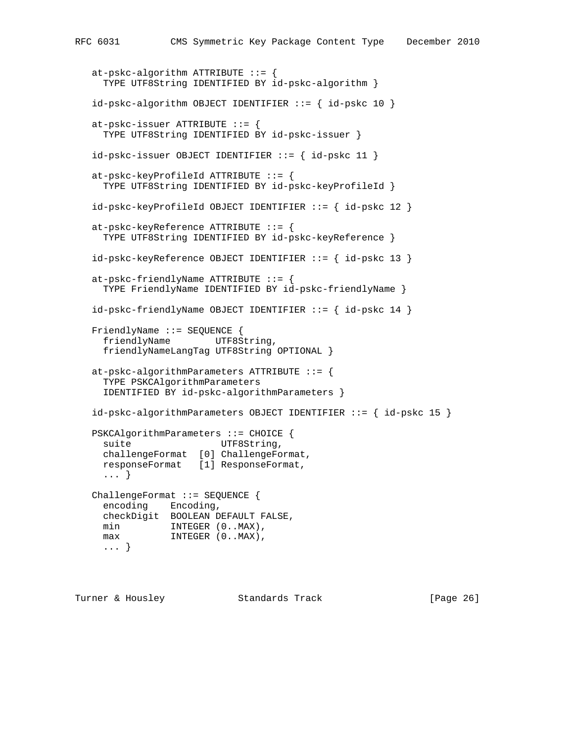```
at-pskc-algorithm ATTRIBUTE ::= {
     TYPE UTF8String IDENTIFIED BY id-pskc-algorithm }
  id-pskc-algorithms OBJECT IDENTIFIER ::= { id-pskc 10 }
   at-pskc-issuer ATTRIBUTE ::= {
     TYPE UTF8String IDENTIFIED BY id-pskc-issuer }
   id-pskc-issuer OBJECT IDENTIFIER ::= { id-pskc 11 }
   at-pskc-keyProfileId ATTRIBUTE ::= {
     TYPE UTF8String IDENTIFIED BY id-pskc-keyProfileId }
   id-pskc-keyProfileId OBJECT IDENTIFIER ::= { id-pskc 12 }
   at-pskc-keyReference ATTRIBUTE ::= {
     TYPE UTF8String IDENTIFIED BY id-pskc-keyReference }
   id-pskc-keyReference OBJECT IDENTIFIER ::= { id-pskc 13 }
   at-pskc-friendlyName ATTRIBUTE ::= {
     TYPE FriendlyName IDENTIFIED BY id-pskc-friendlyName }
   id-pskc-friendlyName OBJECT IDENTIFIER ::= { id-pskc 14 }
   FriendlyName ::= SEQUENCE {
    friendlyName UTF8String,
     friendlyNameLangTag UTF8String OPTIONAL }
  at-pskc-algorithmParameters ATTRIBUTE ::= {
     TYPE PSKCAlgorithmParameters
     IDENTIFIED BY id-pskc-algorithmParameters }
   id-pskc-algorithmParameters OBJECT IDENTIFIER ::= { id-pskc 15 }
   PSKCAlgorithmParameters ::= CHOICE {
    suite UTF8String,
     challengeFormat [0] ChallengeFormat,
     responseFormat [1] ResponseFormat,
     ... }
   ChallengeFormat ::= SEQUENCE {
     encoding Encoding,
     checkDigit BOOLEAN DEFAULT FALSE,
min INTEGER (0..MAX),
max INTEGER (0..MAX),
     ... }
```
Turner & Housley Standards Track [Page 26]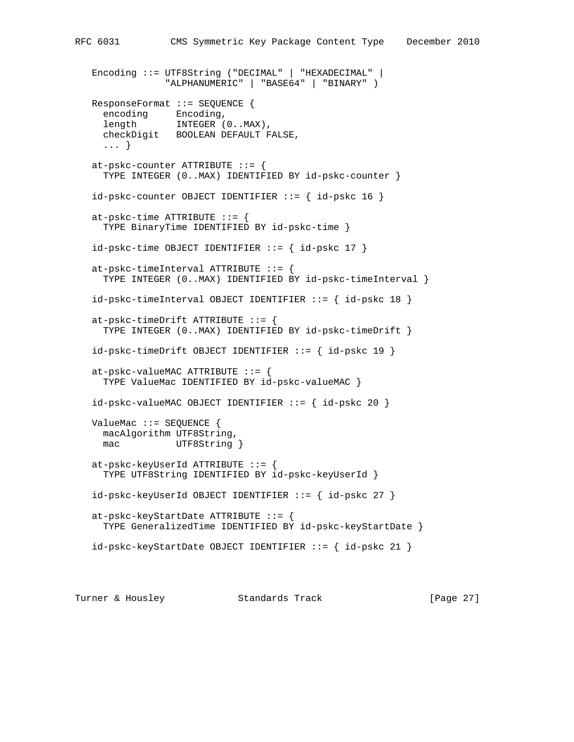```
 Encoding ::= UTF8String ("DECIMAL" | "HEXADECIMAL" |
              "ALPHANUMERIC" | "BASE64" | "BINARY" )
 ResponseFormat ::= SEQUENCE {
  encoding Encoding,
  length INTEGER (0..MAX),
   checkDigit BOOLEAN DEFAULT FALSE,
   ... }
at-pskc-counter ATTRIBUTE ::= {
   TYPE INTEGER (0..MAX) IDENTIFIED BY id-pskc-counter }
id-pskc-counter OBJECT IDENTIFYER ::= { id-pskc 16 }at-pskc-time ATTRIBUTE ::= {
  TYPE BinaryTime IDENTIFIED BY id-pskc-time }
id-pskc-time OBJECT IDENTIFIER ::= { id-pskc 17 }at-pskc-timeInterval ATTRIBUTE ::= {
   TYPE INTEGER (0..MAX) IDENTIFIED BY id-pskc-timeInterval }
 id-pskc-timeInterval OBJECT IDENTIFIER ::= { id-pskc 18 }
at-pskc-timeDrift ATTRIBUTE ::= {
   TYPE INTEGER (0..MAX) IDENTIFIED BY id-pskc-timeDrift }
 id-pskc-timeDrift OBJECT IDENTIFIER ::= { id-pskc 19 }
at-pskc-valueMAC ATTRIBUTE ::= {
  TYPE ValueMac IDENTIFIED BY id-pskc-valueMAC }
id-pskc-valueMAC OBJECT IDENTIFIER ::= { id-pskc 20 }
 ValueMac ::= SEQUENCE {
  macAlgorithm UTF8String,
  mac UTF8String }
 at-pskc-keyUserId ATTRIBUTE ::= {
   TYPE UTF8String IDENTIFIED BY id-pskc-keyUserId }
 id-pskc-keyUserId OBJECT IDENTIFIER ::= { id-pskc 27 }
 at-pskc-keyStartDate ATTRIBUTE ::= {
  TYPE GeneralizedTime IDENTIFIED BY id-pskc-keyStartDate }
id-pskc-keyStartDate OBJECT IDENTIFIER ::= { id-pskc 21 }
```
Turner & Housley Standards Track [Page 27]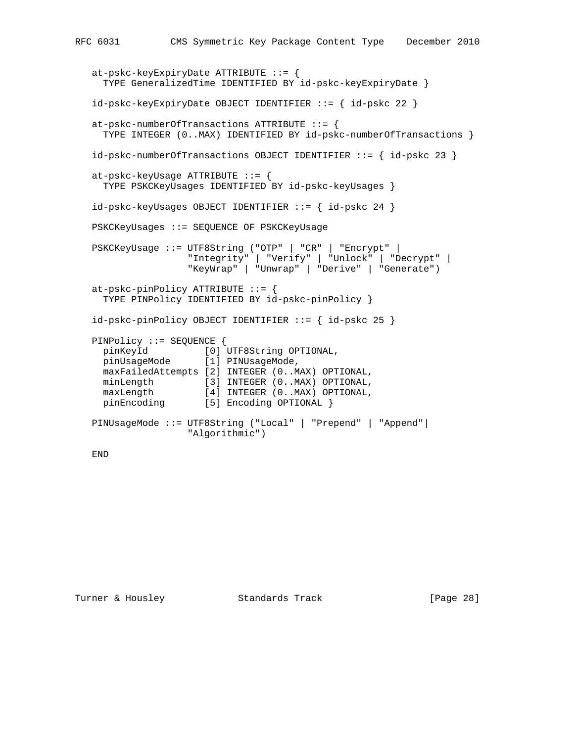```
 at-pskc-keyExpiryDate ATTRIBUTE ::= {
     TYPE GeneralizedTime IDENTIFIED BY id-pskc-keyExpiryDate }
   id-pskc-keyExpiryDate OBJECT IDENTIFIER ::= { id-pskc 22 }
   at-pskc-numberOfTransactions ATTRIBUTE ::= {
     TYPE INTEGER (0..MAX) IDENTIFIED BY id-pskc-numberOfTransactions }
   id-pskc-numberOfTransactions OBJECT IDENTIFIER ::= { id-pskc 23 }
   at-pskc-keyUsage ATTRIBUTE ::= {
     TYPE PSKCKeyUsages IDENTIFIED BY id-pskc-keyUsages }
  id-pskc-keyUsages OBJECT IDENTIFYER := { id-pskc 24 } PSKCKeyUsages ::= SEQUENCE OF PSKCKeyUsage
   PSKCKeyUsage ::= UTF8String ("OTP" | "CR" | "Encrypt" |
                     "Integrity" | "Verify" | "Unlock" | "Decrypt" |
                     "KeyWrap" | "Unwrap" | "Derive" | "Generate")
   at-pskc-pinPolicy ATTRIBUTE ::= {
     TYPE PINPolicy IDENTIFIED BY id-pskc-pinPolicy }
   id-pskc-pinPolicy OBJECT IDENTIFIER ::= { id-pskc 25 }
   PINPolicy ::= SEQUENCE {
 pinKeyId [0] UTF8String OPTIONAL,
 pinUsageMode [1] PINUsageMode,
     maxFailedAttempts [2] INTEGER (0..MAX) OPTIONAL,
    minLength [3] INTEGER (0..MAX) OPTIONAL,<br>maxlength [4] INTEGER (0. MAY) OPTIONAL,
 maxLength [4] INTEGER (0..MAX) OPTIONAL,
pinEncoding [5] Encoding OPTIONAL }
   PINUsageMode ::= UTF8String ("Local" | "Prepend" | "Append"|
                     "Algorithmic")
```
END

Turner & Housley Standards Track [Page 28]